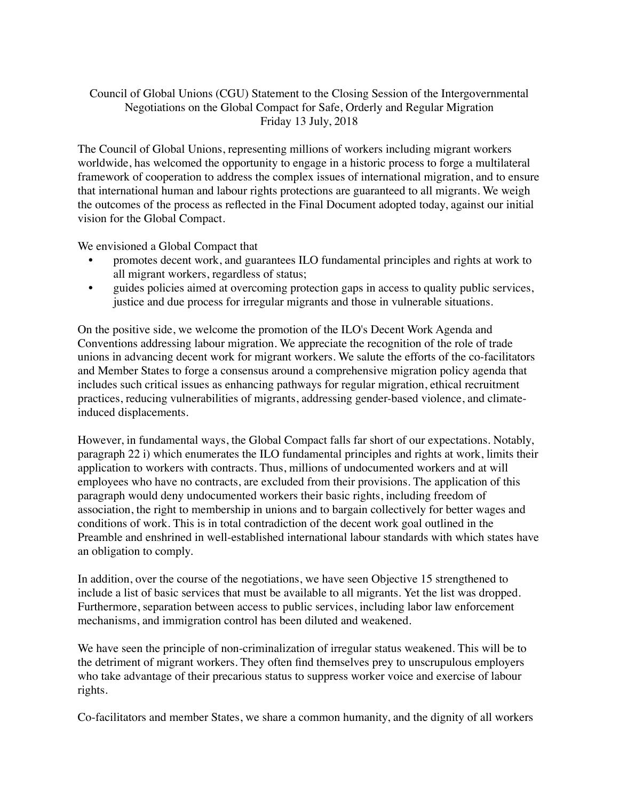## Council of Global Unions (CGU) Statement to the Closing Session of the Intergovernmental Negotiations on the Global Compact for Safe, Orderly and Regular Migration Friday 13 July, 2018

The Council of Global Unions, representing millions of workers including migrant workers worldwide, has welcomed the opportunity to engage in a historic process to forge a multilateral framework of cooperation to address the complex issues of international migration, and to ensure that international human and labour rights protections are guaranteed to all migrants. We weigh the outcomes of the process as reflected in the Final Document adopted today, against our initial vision for the Global Compact.

We envisioned a Global Compact that

- promotes decent work, and guarantees ILO fundamental principles and rights at work to all migrant workers, regardless of status;
- guides policies aimed at overcoming protection gaps in access to quality public services, justice and due process for irregular migrants and those in vulnerable situations.

On the positive side, we welcome the promotion of the ILO's Decent Work Agenda and Conventions addressing labour migration. We appreciate the recognition of the role of trade unions in advancing decent work for migrant workers. We salute the efforts of the co-facilitators and Member States to forge a consensus around a comprehensive migration policy agenda that includes such critical issues as enhancing pathways for regular migration, ethical recruitment practices, reducing vulnerabilities of migrants, addressing gender-based violence, and climateinduced displacements.

However, in fundamental ways, the Global Compact falls far short of our expectations. Notably, paragraph 22 i) which enumerates the ILO fundamental principles and rights at work, limits their application to workers with contracts. Thus, millions of undocumented workers and at will employees who have no contracts, are excluded from their provisions. The application of this paragraph would deny undocumented workers their basic rights, including freedom of association, the right to membership in unions and to bargain collectively for better wages and conditions of work. This is in total contradiction of the decent work goal outlined in the Preamble and enshrined in well-established international labour standards with which states have an obligation to comply.

In addition, over the course of the negotiations, we have seen Objective 15 strengthened to include a list of basic services that must be available to all migrants. Yet the list was dropped. Furthermore, separation between access to public services, including labor law enforcement mechanisms, and immigration control has been diluted and weakened.

We have seen the principle of non-criminalization of irregular status weakened. This will be to the detriment of migrant workers. They often find themselves prey to unscrupulous employers who take advantage of their precarious status to suppress worker voice and exercise of labour rights.

Co-facilitators and member States, we share a common humanity, and the dignity of all workers